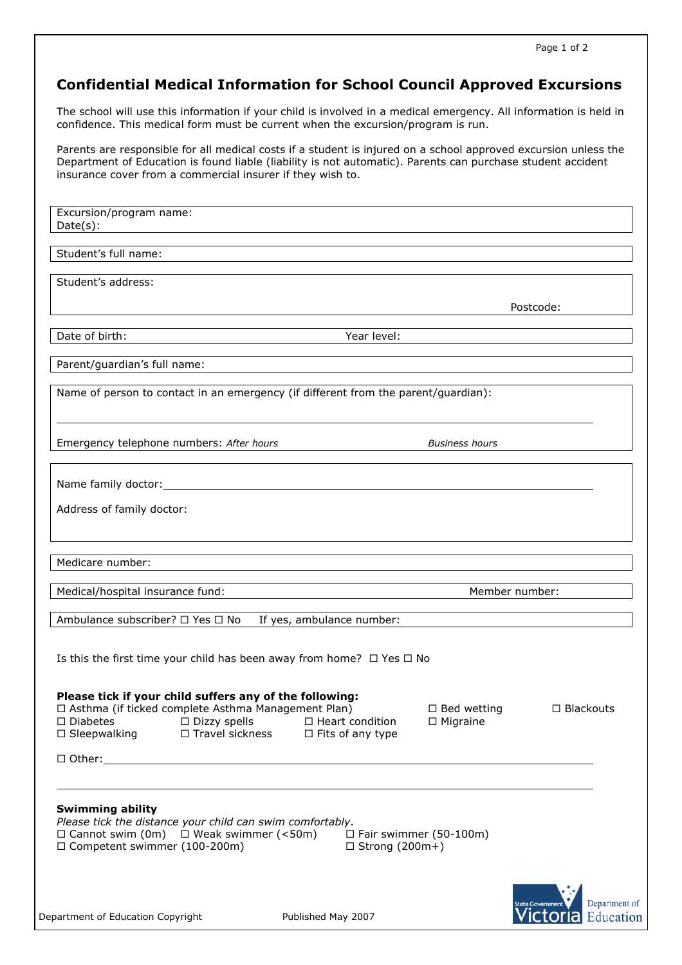# Confidential Medical Information for School Council Approved Excursions

The school will use this information if your child is involved in a medical emergency. All information is held in confidence. This medical form must be current when the excursion/program is run.

Parents are responsible for all medical costs if a student is injured on a school approved excursion unless the Department of Education is found liable (liability is not automatic). Parents can purchase student accident insurance cover from a commercial insurer if they wish to.

Excursion/program name: Date(s):

Student's full name:

Student's address:

Postcode:

ı

Date of birth:  $\blacksquare$ 

Parent/guardian's full name:

Name of person to contact in an emergency (if different from the parent/guardian):

Emergency telephone numbers: After hours and the settlement of the Business hours

Name family doctor:

Address of family doctor:

Medicare number:

Medical/hospital insurance fund: Member number:

Ambulance subscriber?  $\Box$  Yes  $\Box$  No If yes, ambulance number:

Is this the first time your child has been away from home?  $\Box$  Yes  $\Box$  No

Please tick if your child suffers any of the following:  $\Box$  Asthma (if ticked complete Asthma Management Plan)  $\Box$  Bed wetting  $\Box$  Blackouts

 $\Box$  Diabetes  $\Box$  Dizzy spells  $\Box$  Heart condition  $\Box$  Migraine  $\Box$  Sleepwalking  $\Box$  Travel sickness  $\Box$  Fits of any type  $\square$  Fits of any type

□ Other:

l

2007

### Swimming ability

Please tick the distance your child can swim comfortably.  $\Box$  Cannot swim (0m)  $\Box$  Weak swimmer (<50m)  $\Box$  Fair swimmer (50-100m)  $\Box$  Competent swimmer (100-200m)  $\Box$  Strong (200m+)



Published May 2007